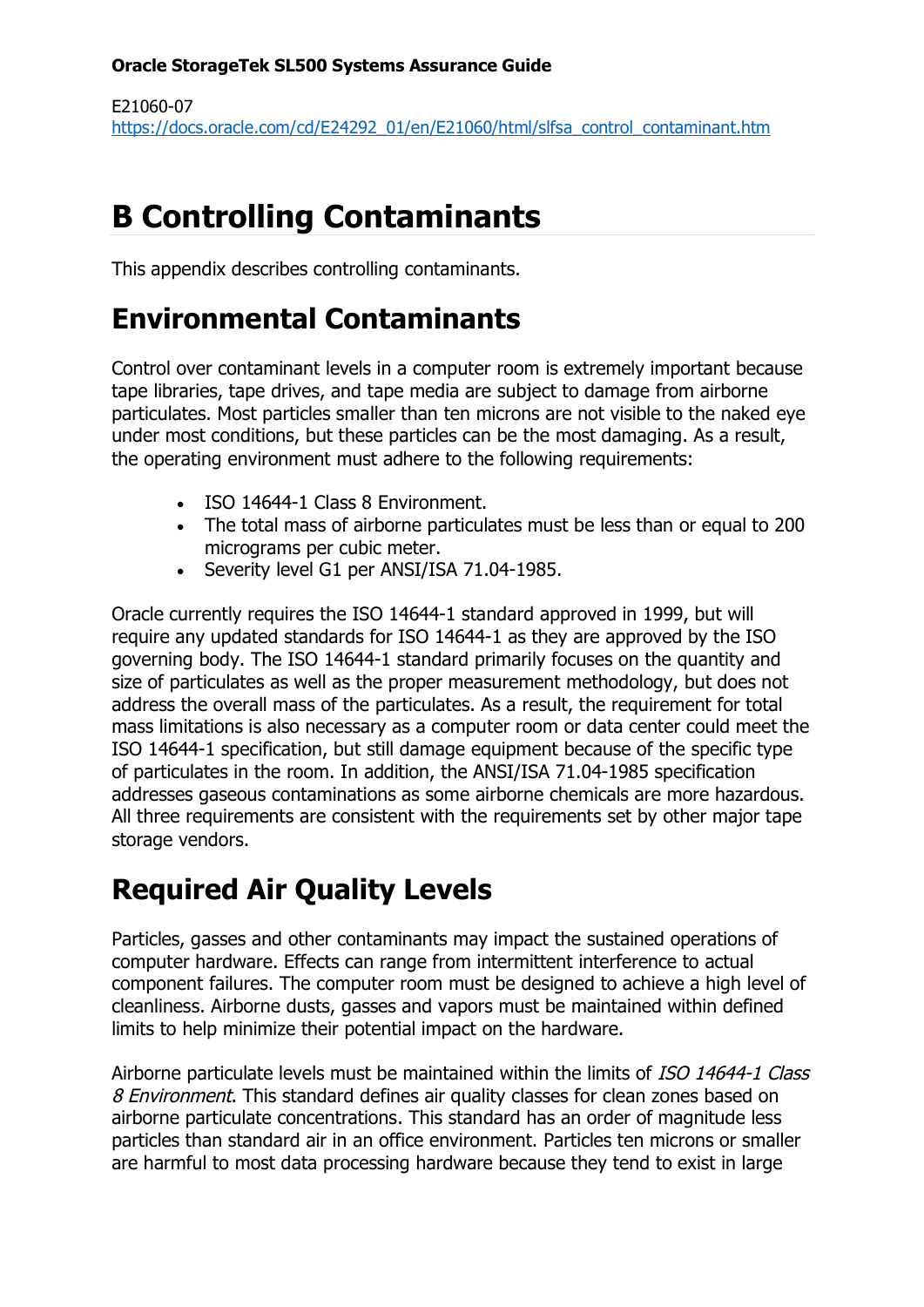# **B Controlling Contaminants**

This appendix describes controlling contaminants.

# **Environmental Contaminants**

Control over contaminant levels in a computer room is extremely important because tape libraries, tape drives, and tape media are subject to damage from airborne particulates. Most particles smaller than ten microns are not visible to the naked eye under most conditions, but these particles can be the most damaging. As a result, the operating environment must adhere to the following requirements:

- ISO 14644-1 Class 8 Environment.
- The total mass of airborne particulates must be less than or equal to 200 micrograms per cubic meter.
- Severity level G1 per ANSI/ISA 71.04-1985.

Oracle currently requires the ISO 14644-1 standard approved in 1999, but will require any updated standards for ISO 14644-1 as they are approved by the ISO governing body. The ISO 14644-1 standard primarily focuses on the quantity and size of particulates as well as the proper measurement methodology, but does not address the overall mass of the particulates. As a result, the requirement for total mass limitations is also necessary as a computer room or data center could meet the ISO 14644-1 specification, but still damage equipment because of the specific type of particulates in the room. In addition, the ANSI/ISA 71.04-1985 specification addresses gaseous contaminations as some airborne chemicals are more hazardous. All three requirements are consistent with the requirements set by other major tape storage vendors.

# **Required Air Quality Levels**

Particles, gasses and other contaminants may impact the sustained operations of computer hardware. Effects can range from intermittent interference to actual component failures. The computer room must be designed to achiev computer hardware. Effects can range from intermittent interference to actual cleanliness. Airborne dusts, gasses and vapors must be maintained within defined limits to help minimize their potential impact on the hardware.

Airborne particulate levels must be maintained within the limits of ISO 14644-1 Class 8 Environment. This standard defines air quality classes for clean zones based on airborne particulate concentrations. This standard has an order of magnitude less particles than standard air in an office environment. Particles ten microns or smaller are harmful to most data processing hardware because they tend to exist in large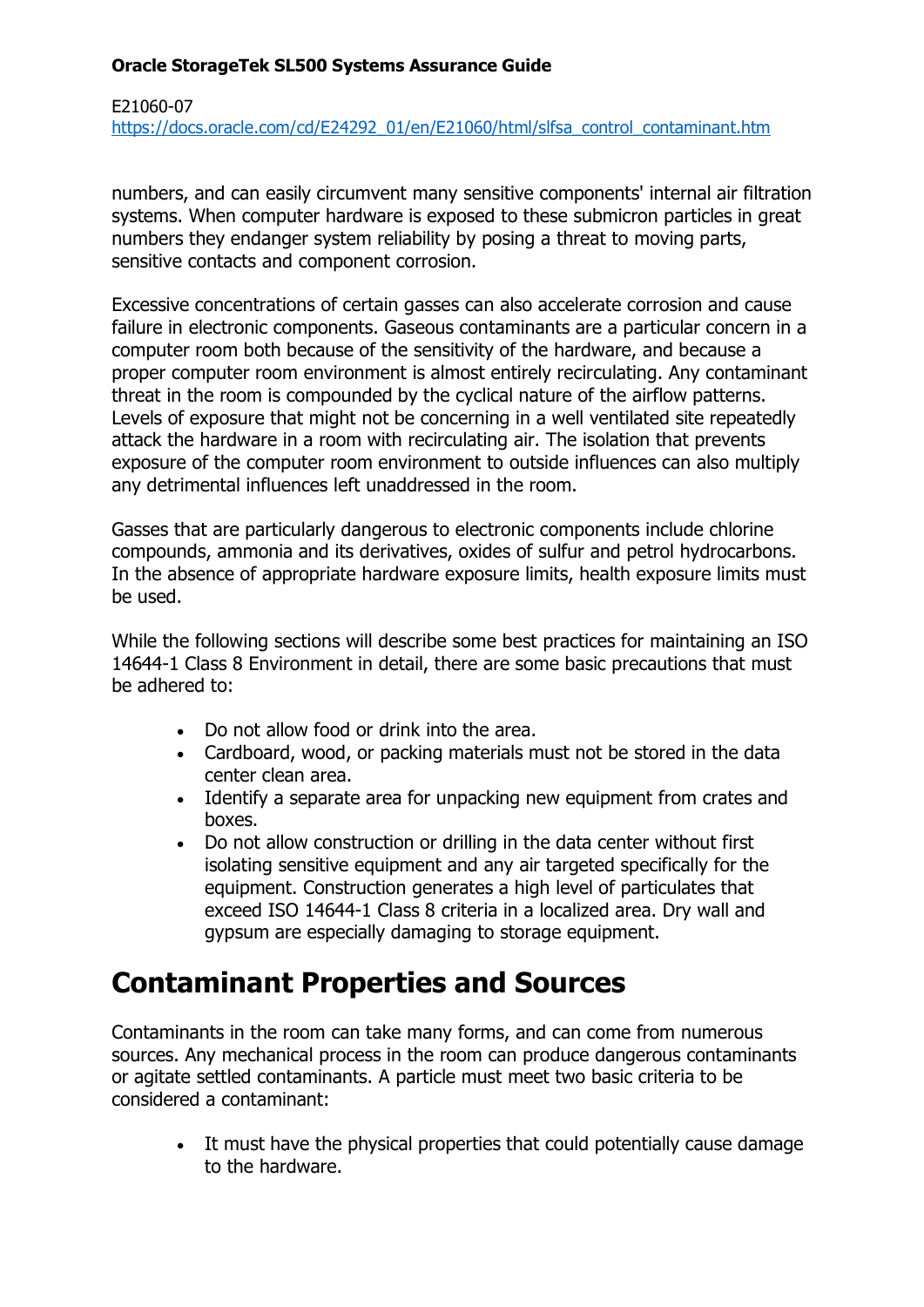E21060-07 https://docs.oracle.com/cd/E24292\_01/en/E21060/html/slfsa\_control\_contaminant.htm

numbers, and can easily circumvent many sensitive components' internal air filtration systems. When computer hardware is exposed to these submicron particles in great numbers they endanger system reliability by posing a threat to moving parts, sensitive contacts and component corrosion.

Excessive concentrations of certain gasses can also accelerate corrosion and cause failure in electronic components. Gaseous contaminants are a particular concern in a computer room both because of the sensitivity of the hardware, and because a proper computer room environment is almost entirely recirculating. Any contaminant threat in the room is compounded by the cyclical nature of the airflow patterns. Levels of exposure that might not be concerning in a well ventilated site repeatedly attack the hardware in a room with recirculating air. The isolation that prevents exposure of the computer room environment to outside influences can also multiply any detrimental influences left unaddressed in the room.

Gasses that are particularly dangerous to electronic components include chlorine compounds, ammonia and its derivatives, oxides of sulfur and petrol hydrocarbons. In the absence of appropriate hardware exposure limits, health exposure limits must be used.

While the following sections will describe some best practices for maintaining an ISO 14644-1 Class 8 Environment in detail, there are some basic precautions that must be adhered to:

- Do not allow food or drink into the area.
- Cardboard, wood, or packing materials must not be stored in the data center clean area.
- Identify a separate area for unpacking new equipment from crates and boxes.
- Do not allow construction or drilling in the data center without first isolating sensitive equipment and any air targeted specifically for the equipment. Construction generates a high level of particulates that isolating sensitive equipment and any air targeted specifically for the<br>equipment. Construction generates a high level of particulates that<br>exceed ISO 14644-1 Class 8 criteria in a localized area. Dry wall and gypsum are especially damaging to storage equipment.

# **Contaminant Properties and Sources**

Contaminants in the room can take many forms, and can come from numerous sources. Any mechanical process in the room can produce dangerous contaminants or agitate settled contaminants. A particle must meet two basic criteria to be considered a contaminant:

 It must have the physical properties that could potentially cause damage to the hardware.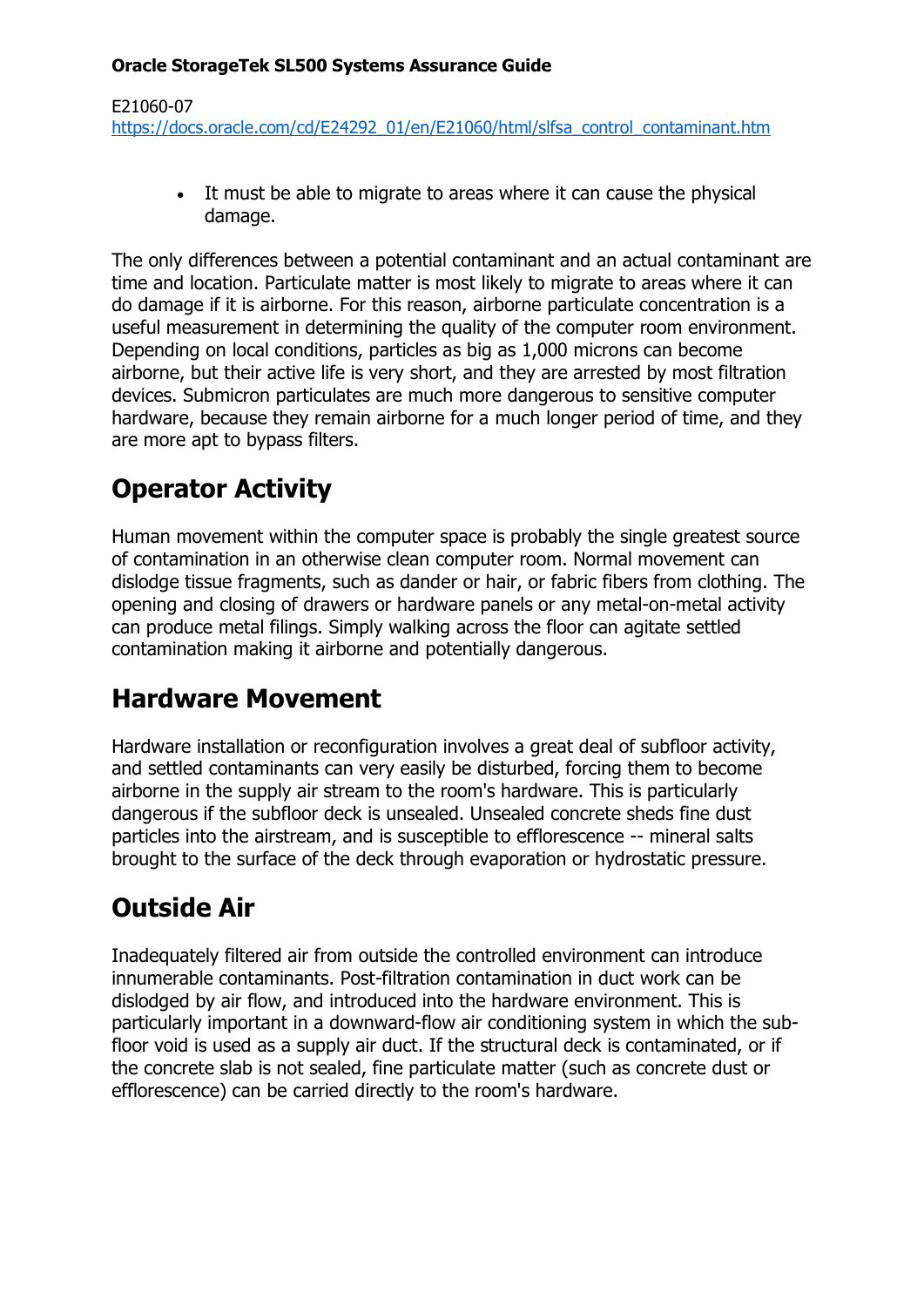E21060-07 https://docs.oracle.com/cd/E24292\_01/en/E21060/html/slfsa\_control\_contaminant.htm

 It must be able to migrate to areas where it can cause the physical damage.

The only differences between a potential contaminant and an actual contaminant are time and location. Particulate matter is most likely to migrate to areas where it can do damage if it is airborne. For this reason, airborn time and location. Particulate matter is most likely to migrate to areas where it can useful measurement in determining the quality of the computer room environment. Depending on local conditions, particles as big as 1,000 microns can become airborne, but their active life is very short, and they are arrested by most filtration devices. Submicron particulates are much more dangerous to sensitive computer hardware, because they remain airborne for a much longer period of time, and they are more apt to bypass filters.

# **Operator Activity**

Human movement within the computer space is probably the single greatest source of contamination in an otherwise clean computer room. Normal movement can dislodge tissue fragments, such as dander or hair, or fabric fibers from clothing. The opening and closing of drawers or hardware panels or any metal-on-metal activity can produce metal filings. Simply walking across the floor can agitate settled contamination making it airborne and potentially dangerous.

# **Hardware Movement**

Hardware installation or reconfiguration involves a great deal of subfloor activity, and settled contaminants can very easily be disturbed, forcing them to become airborne in the supply air stream to the room's hardware. This is particularly dangerous if the subfloor deck is unsealed. Unsealed concrete sheds fine dust particles into the airstream, and is susceptible to efflorescence -- mineral salts brought to the surface of the deck through evaporation or hydrostatic pressure.

# **Outside Air**

Inadequately filtered air from outside the controlled environment can introduce Inadequately filtered air from outside the controlled environment can introduce<br>innumerable contaminants. Post-filtration contamination in duct work can be dislodged by air flow, and introduced into the hardware environment. This is particularly important in a downward-flow air conditioning system in which the subfloor void is used as a supply air duct. If the structural deck is contaminated, or if the concrete slab is not sealed, fine particulate matter (such as concrete dust or efflorescence) can be carried directly to the room's hardware.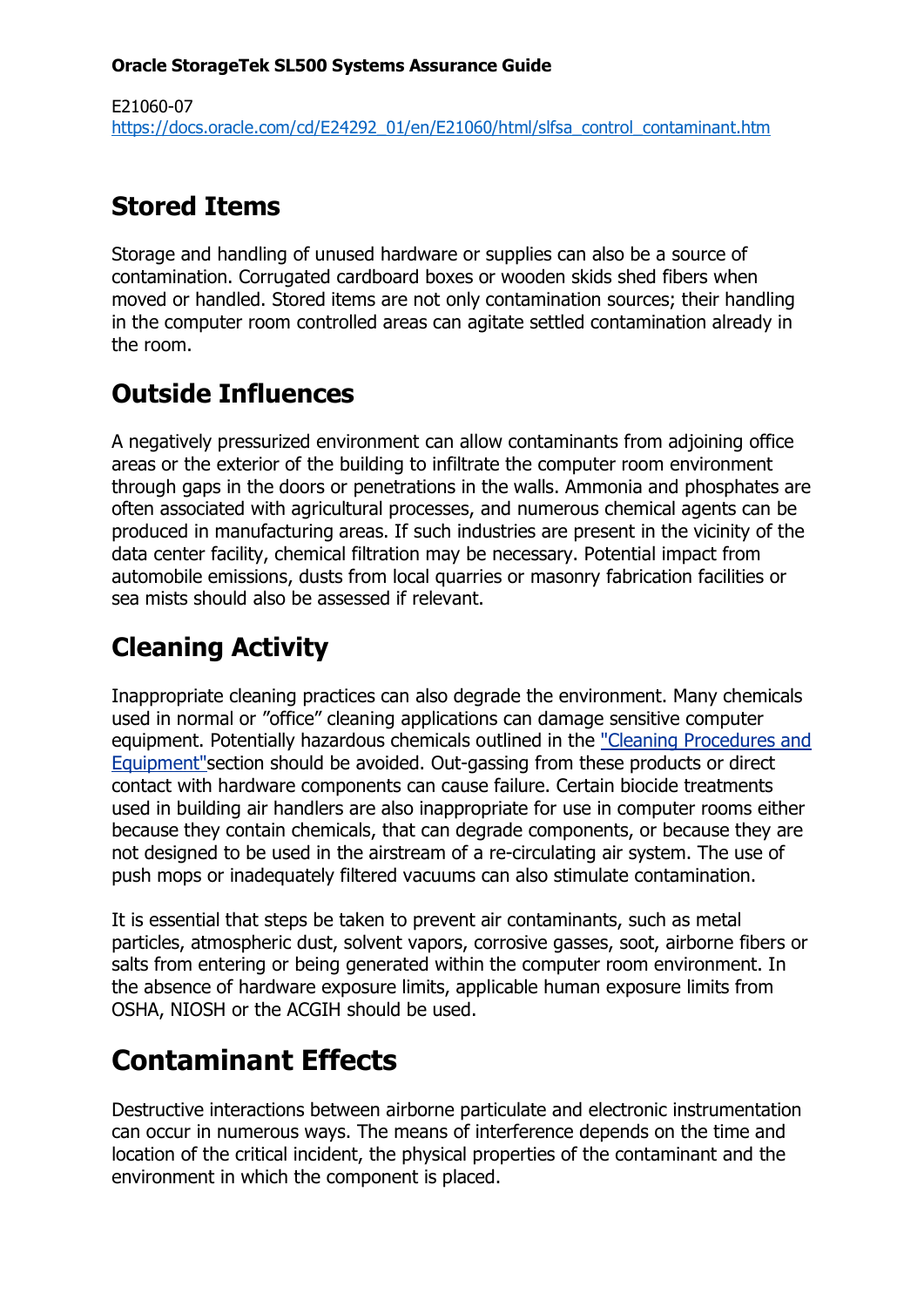### **Stored Items**

Storage and handling of unused hardware or supplies can also be a source of contamination. Corrugated cardboard boxes or wooden skids shed fibers when moved or handled. Stored items are not only contamination sources; their handling in the computer room controlled areas can agitate settled contamination already in the room.

### **Outside Influences**

A negatively pressurized environment can allow contaminants from adjoining office areas or the exterior of the building to infiltrate the computer room environment through gaps in the doors or penetrations in the walls. Ammonia and phosphates are often associated with agricultural processes, and numerous chemical agents can be produced in manufacturing areas. If such industries are present in the vicinity of the data center facility, chemical filtration may be necessary. Potential impact from automobile emissions, dusts from local quarries or masonry fabrication facilities or sea mists should also be assessed if relevant.

# **Cleaning Activity**

Inappropriate cleaning practices can also degrade the environment. Many chemicals used in normal or "office" cleaning applications can damage sensitive computer equipment. Potentially hazardous chemicals outlined in the "Cleaning Procedures and Equipment"section should be avoided. Out-gassing from these products or direct contact with hardware components can cause failure. Certain biocide treatments used in building air handlers are also inappropriate for use in computer rooms either because they contain chemicals, that can degrade components, or because they are not designed to be used in the airstream of a re-circulating air system. The use of push mops or inadequately filtered vacuums can also stimulate contamination.

It is essential that steps be taken to prevent air contaminants, such as metal particles, atmospheric dust, solvent vapors, corrosive gasses, soot, airborne fibers or salts from entering or being generated within the computer room environment. In the absence of hardware exposure limits, applicable human exposure limits from OSHA, NIOSH or the ACGIH should be used.

# **Contaminant Effects**

Destructive interactions between airborne particulate and electronic instrumentation can occur in numerous ways. The means of interference depends on the time and location of the critical incident, the physical properties of the contaminant and the environment in which the component is placed.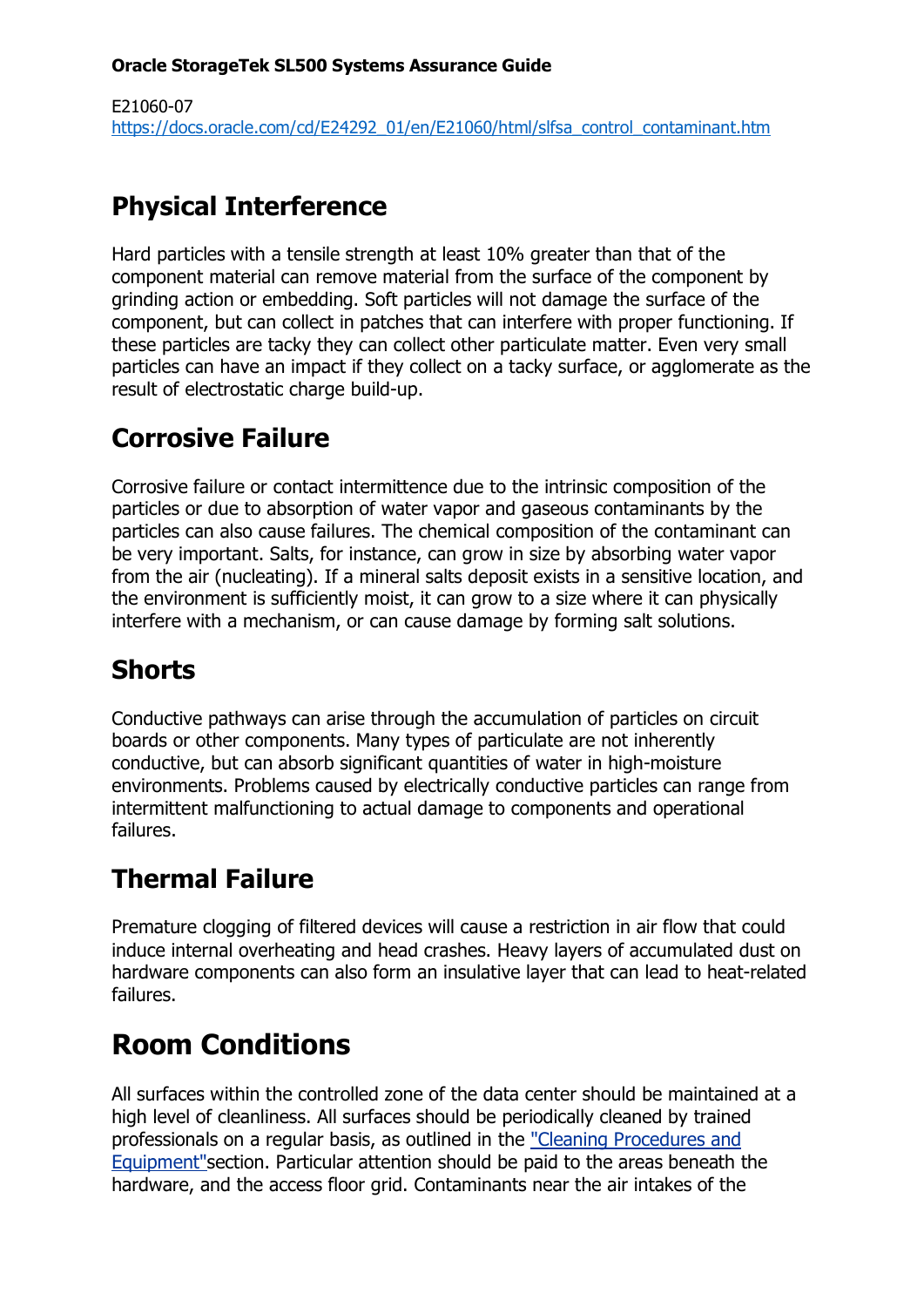# **Physical Interference**

Hard particles with a tensile strength at least 10% greater than that of the component material can remove material from the surface of the component by grinding action or embedding. Soft particles will not damage the surface of the component, but can collect in patches that can interfere with proper functioning. If these particles are tacky they can collect other particulate matter. Even very small particles can have an impact if they collect on a tacky surface, or agglomerate as the result of electrostatic charge build-up.

# **Corrosive Failure**

Corrosive failure or contact intermittence due to the intrinsic composition of the particles or due to absorption of water vapor and gaseous contaminants by the particles can also cause failures. The chemical composition of the contaminant can be very important. Salts, for instance, can grow in size by absorbing water vapor from the air (nucleating). If a mineral salts deposit exists in a sensitive location, and the environment is sufficiently moist, it can grow to a size where it can physically interfere with a mechanism, or can cause damage by forming salt solutions.

# **Shorts**

Conductive pathways can arise through the accumulation of particles on circuit boards or other components. Many types of particulate are not inherently conductive, but can absorb significant quantities of water in high-moisture environments. Problems caused by electrically conductive particles can range from intermittent malfunctioning to actual damage to components and operational failures.

# **Thermal Failure**

Premature clogging of filtered devices will cause a restriction in air flow that could induce internal overheating and head crashes. Heavy layers of accumulated dust on hardware components can also form an insulative layer that can lead to heat-related failures.

# **Room Conditions**

All surfaces within the controlled zone of the data center should be maintained at a high level of cleanliness. All surfaces should be periodically cleaned by trained professionals on a regular basis, as outlined in the "Cleaning Procedures and Equipment"section. Particular attention should be paid to the areas beneath the hardware, and the access floor grid. Contaminants near the air intakes of the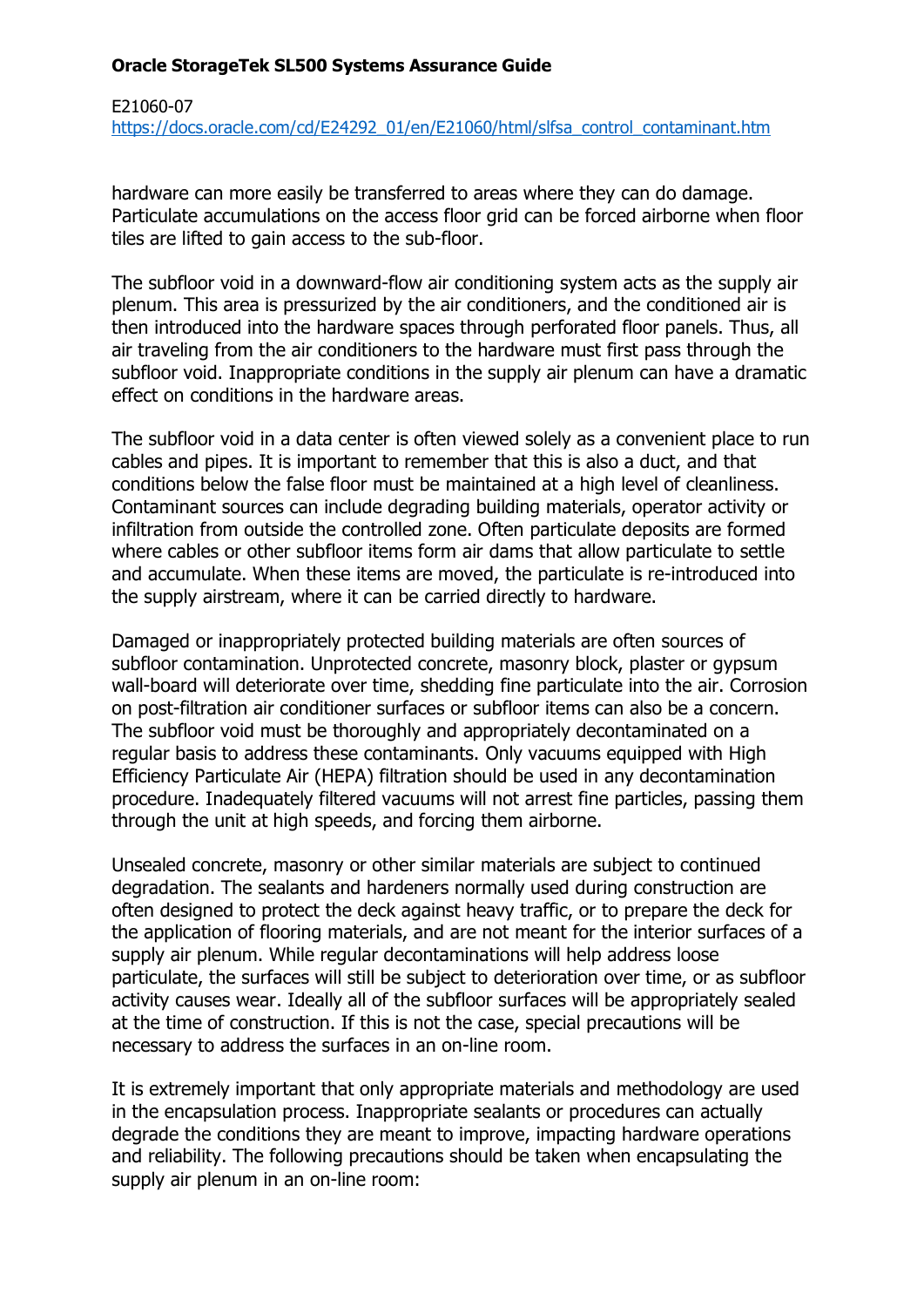E21060-07 https://docs.oracle.com/cd/E24292\_01/en/E21060/html/slfsa\_control\_contaminant.htm

hardware can more easily be transferred to areas where they can do damage. Particulate accumulations on the access floor grid can be forced airborne when floor tiles are lifted to gain access to the sub-floor.

The subfloor void in a downward-flow air conditioning system acts as the supply air plenum. This area is pressurized by the air conditioners, and the conditioned air is then introduced into the hardware spaces through perforated floor panels. Thus, all air traveling from the air conditioners to the hardware must first pass through the subfloor void. Inappropriate conditions in the supply air plenum can have a dramatic effect on conditions in the hardware areas.

The subfloor void in a data center is often viewed solely as a convenient place to run cables and pipes. It is important to remember that this is also a duct, and that conditions below the false floor must be maintained at a high level of cleanliness. Contaminant sources can include degrading building materials, operator activity or infiltration from outside the controlled zone. Often particulate deposits are formed where cables or other subfloor items form air dams that allow particulate to settle and accumulate. When these items are moved, the particulate is re-introduced into the supply airstream, where it can be carried directly to hardware.

Damaged or inappropriately protected building materials are often sources of subfloor contamination. Unprotected concrete, masonry block, plaster or gypsum wall-board will deteriorate over time, shedding fine particulate into the air. Corrosion on post-filtration air conditioner surfaces or subfloor items can also be a concern. The subfloor void must be thoroughly and appropriately decontaminated on a regular basis to address these contaminants. Only vacuums equipped with High Efficiency Particulate Air (HEPA) filtration should be used in any decontamination procedure. Inadequately filtered vacuums will not arrest fine particles, passing them through the unit at high speeds, and forcing them airborne.

Unsealed concrete, masonry or other similar materials are subject to continued degradation. The sealants and hardeners normally used during construction are often designed to protect the deck against heavy traffic, or to prepare the deck for the application of flooring materials, and are not meant for the interior surfaces of a supply air plenum. While regular decontaminations will help address loose particulate, the surfaces will still be subject to deterioration over time, or as subfloor activity causes wear. Ideally all of the subfloor surfaces will be appropriately sealed at the time of construction. If this is not the case, special precautions will be necessary to address the surfaces in an on-line room.

It is extremely important that only appropriate materials and methodology are used in the encapsulation process. Inappropriate sealants or procedures can actually degrade the conditions they are meant to improve, impacting hardware operations and reliability. The following precautions should be taken when encapsulating the supply air plenum in an on-line room: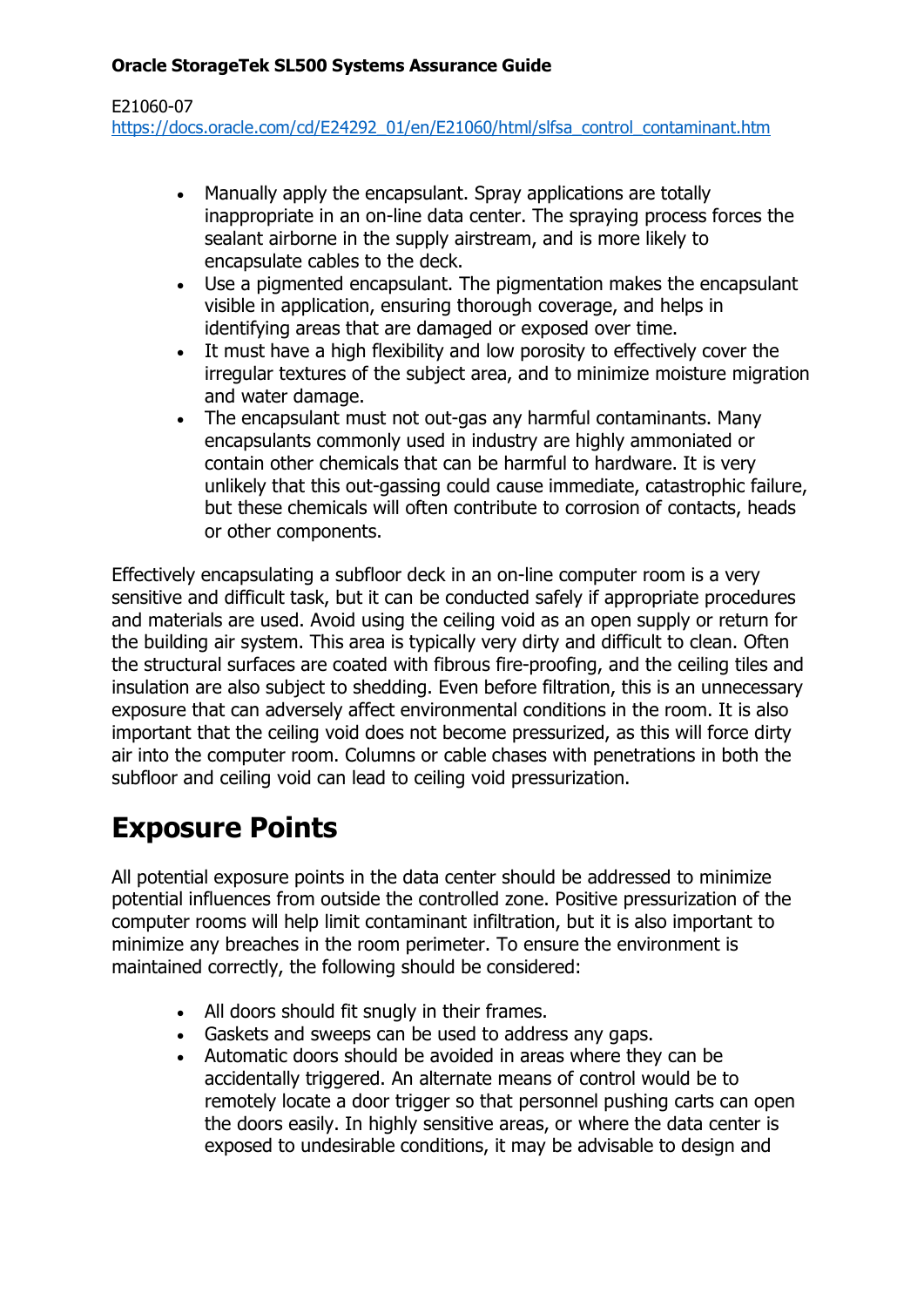E21060-07 https://docs.oracle.com/cd/E24292\_01/en/E21060/html/slfsa\_control\_contaminant.htm

- Manually apply the encapsulant. Spray applications are totally inappropriate in an on-line data center. The spraying process forces the sealant airborne in the supply airstream, and is more likely to encapsulate cables to the deck.
- Use a pigmented encapsulant. The pigmentation makes the encapsulant visible in application, ensuring thorough coverage, and helps in identifying areas that are damaged or exposed over time.
- It must have a high flexibility and low porosity to effectively cover the irregular textures of the subject area, and to minimize moisture migration and water damage.
- The encapsulant must not out-gas any harmful contaminants. Many encapsulants commonly used in industry are highly ammoniated or contain other chemicals that can be harmful to hardware. It is very unlikely that this out-gassing could cause immediate, catastrophic failure, but these chemicals will often contribute to corrosion of contacts, heads or other components.

Effectively encapsulating a subfloor deck in an on-line computer room is a very sensitive and difficult task, but it can be conducted safely if appropriate procedures and materials are used. Avoid using the ceiling void as an open supply or return for the building air system. This area is typically very dirty and difficult to clean. Often the structural surfaces are coated with fibrous fire-proofing, and the ceiling tiles and insulation are also subject to shedding. Even before filtration, this is an unnecessary exposure that can adversely affect environmental conditions in the room. It is also important that the ceiling void does not become pressurized, as this will force dirty air into the computer room. Columns or cable chases with penetrations in both the subfloor and ceiling void can lead to ceiling void pressurization.

# **Exposure Points**

All potential exposure points in the data center should be addressed to minimize potential influences from outside the controlled zone. Positive pressurization of the computer rooms will help limit contaminant infiltration, but it is also important to minimize any breaches in the room perimeter. To ensure the environment is maintained correctly, the following should be considered:<br>
• All doors should fit snugly in their frames.

- 
- Gaskets and sweeps can be used to address any gaps.
- Automatic doors should be avoided in areas where they can be accidentally triggered. An alternate means of control would be to remotely locate a door trigger so that personnel pushing carts can open accidentally triggered. An alternate means of control would be to<br>remotely locate a door trigger so that personnel pushing carts can open<br>the doors easily. In highly sensitive areas, or where the data center is<br>numerod to exposed to undesirable conditions, it may be advisable to design and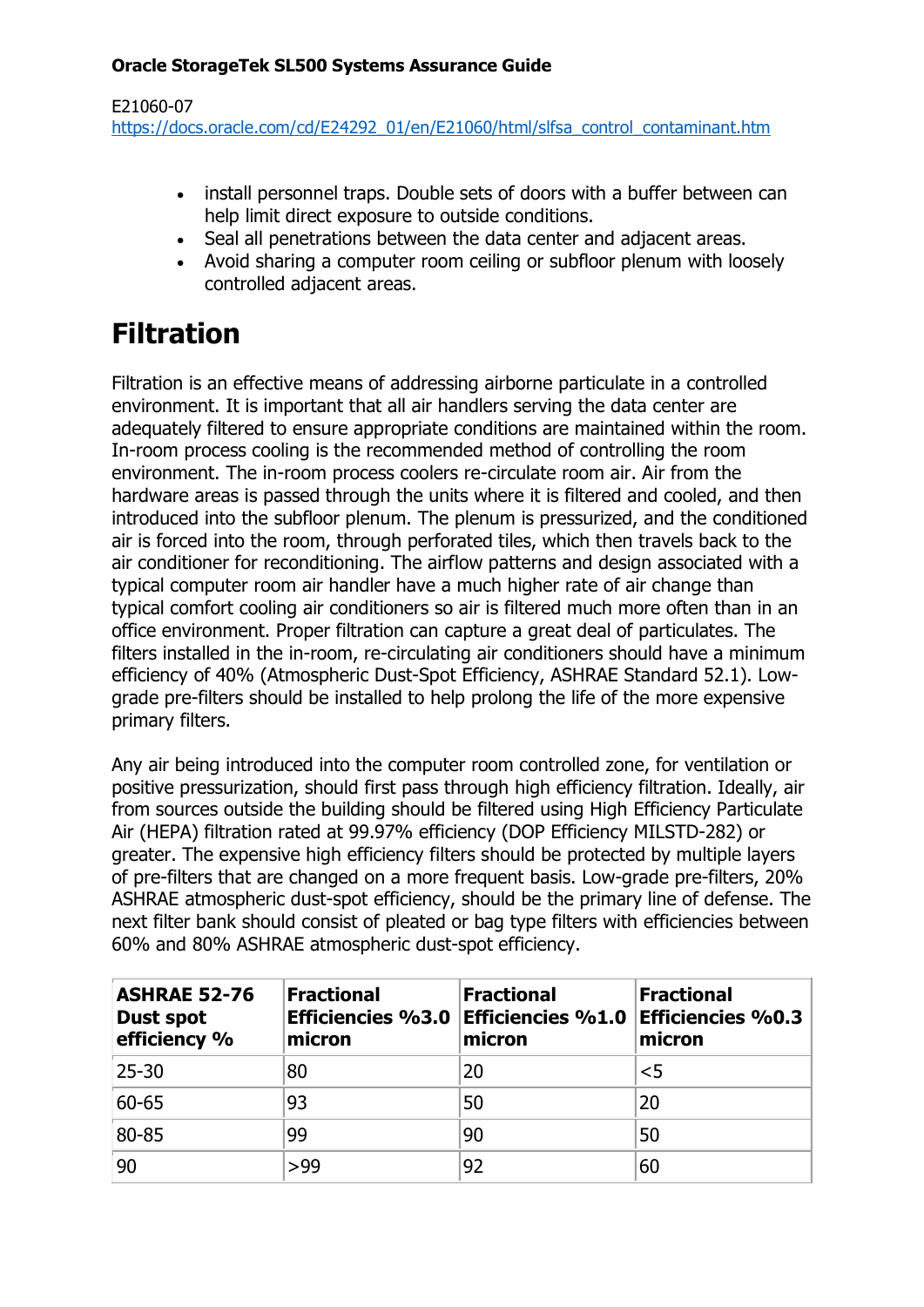E21060-07

https://docs.oracle.com/cd/E24292\_01/en/E21060/html/slfsa\_control\_contaminant.htm

- install personnel traps. Double sets of doors with a buffer between can help limit direct exposure to outside conditions.
- Seal all penetrations between the data center and adjacent areas.
- Avoid sharing a computer room ceiling or subfloor plenum with loosely controlled adjacent areas.

# **Filtration**

Filtration is an effective means of addressing airborne particulate in a controlled environment. It is important that all air handlers serving the data center are adequately filtered to ensure appropriate conditions are maintained within the room. In-room process cooling is the recommended method of controlling the room environment. The in-room process coolers re-circulate room air. Air from the hardware areas is passed through the units where it is filtered and cooled, and then introduced into the subfloor plenum. The plenum is pressurized, and the conditioned air is forced into the room, through perforated tiles, which then travels back to the air conditioner for reconditioning. The airflow patterns and design associated with a typical computer room air handler have a much higher rate of air change than typical comfort cooling air conditioners so air is filtered much more often than in an office environment. Proper filtration can capture a great deal of particulates. The filters installed in the in-room, re-circulating air conditioners should have a minimum efficiency of 40% (Atmospheric Dust-Spot Efficiency, ASHRAE Standard 52.1). Lowgrade pre-filters should be installed to help prolong the life of the more expensive primary filters.

Any air being introduced into the computer room controlled zone, for ventilation or positive pressurization, should first pass through high efficiency filtration. Ideally, air from sources outside the building should be filtered using High Efficiency Particulate<br>Air (HEPA) filtration rated at 99.97% efficiency (DOP Efficiency MILSTD-282) or<br>greater. The expensive high efficiency filters should b Air (HEPA) filtration rated at 99.97% efficiency (DOP Efficiency MILSTD-282) or of pre-filters that are changed on a more frequent basis. Low-grade pre-filters, 20% ASHRAE atmospheric dust-spot efficiency, should be the primary line of defense. The of pre-filters that are changed on a more frequent basis. Low-grade pre-filters, 20%<br>ASHRAE atmospheric dust-spot efficiency, should be the primary line of defense. The<br>next filter bank should consist of pleated or bag typ 60% and 80% ASHRAE atmospheric dust-spot efficiency.

| <b>ASHRAE 52-76</b><br><b>Dust spot</b><br>efficiency % | <b>Fractional</b><br><b>Efficiencies %3.0</b><br>micron | <b>Fractional</b><br><b>Efficiencies %1.0</b><br>micron | <b>Fractional</b><br><b>Efficiencies %0.3</b><br>micron |
|---------------------------------------------------------|---------------------------------------------------------|---------------------------------------------------------|---------------------------------------------------------|
| $25 - 30$                                               | 80                                                      | 20                                                      | < 5                                                     |
| 60-65                                                   | 93                                                      | 50                                                      | 20                                                      |
| 80-85                                                   | 99                                                      | 90                                                      | 50                                                      |
| 90                                                      | >99                                                     | 92                                                      | 60                                                      |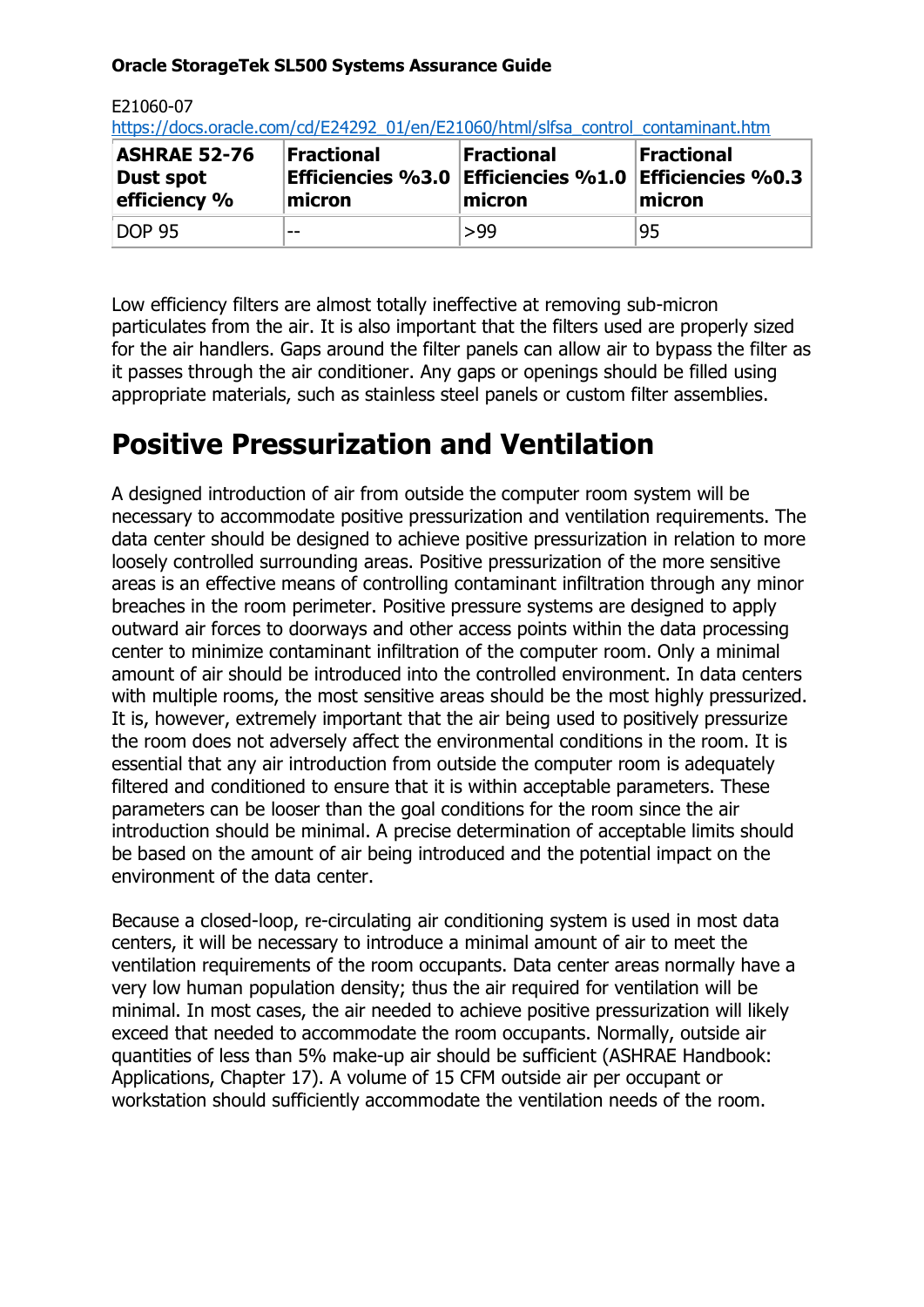E21060-07

| https://docs.oracle.com/cd/E24292_01/en/E21060/html/slfsa_control_contaminant.htm |                      |                                                                               |                      |  |
|-----------------------------------------------------------------------------------|----------------------|-------------------------------------------------------------------------------|----------------------|--|
| <b>ASHRAE 52-76</b><br><b>Dust spot</b><br>efficiency %                           | Fractional<br>micron | Fractional<br>Efficiencies %3.0 Efficiencies %1.0 Efficiencies %0.3<br>micron | Fractional<br>micron |  |
| <b>DOP 95</b>                                                                     | --                   | >99                                                                           | '95                  |  |

Low efficiency filters are almost totally ineffective at removing sub-micron particulates from the air. It is also important that the filters used are properly sized for the air handlers. Gaps around the filter panels can allow air to bypass the filter as it passes through the air conditioner. Any gaps or openings should be filled using appropriate materials, such as stainless steel panels or custom filter assemblies.

# **Positive Pressurization and Ventilation**

A designed introduction of air from outside the computer room system will be necessary to accommodate positive pressurization and ventilation requirements. The data center should be designed to achieve positive pressurization in relation to more loosely controlled surrounding areas. Positive pressurization of the more sensitive areas is an effective means of controlling contaminant infiltration through any minor breaches in the room perimeter. Positive pressure systems are designed to apply outward air forces to doorways and other access points within the data processing center to minimize contaminant infiltration of the computer room. Only a minimal amount of air should be introduced into the controlled environment. In data centers with multiple rooms, the most sensitive areas should be the most highly pressurized. It is, however, extremely important that the air being used to positively pressurize the room does not adversely affect the environmental conditions in the room. It is essential that any air introduction from outside the computer room is adequately filtered and conditioned to ensure that it is within acceptable parameters. These parameters can be looser than the goal conditions for the room since the air introduction should be minimal. A precise determination of acceptable limits should be based on the amount of air being introduced and the potential impact on the environment of the data center.

Because a closed-loop, re-circulating air conditioning system is used in most data centers, it will be necessary to introduce a minimal amount of air to meet the ventilation requirements of the room occupants. Data center areas normally have a very low human population density; thus the air required for ventilation will be minimal. In most cases, the air needed to achieve positive pressurization will likely exceed that needed to accommodate the room occupants. Normally, outside air quantities of less than 5% make-up air should be sufficient (ASHRAE Handbook: Applications, Chapter 17). A volume of 15 CFM outside air per occupant or workstation should sufficiently accommodate the ventilation needs of the room.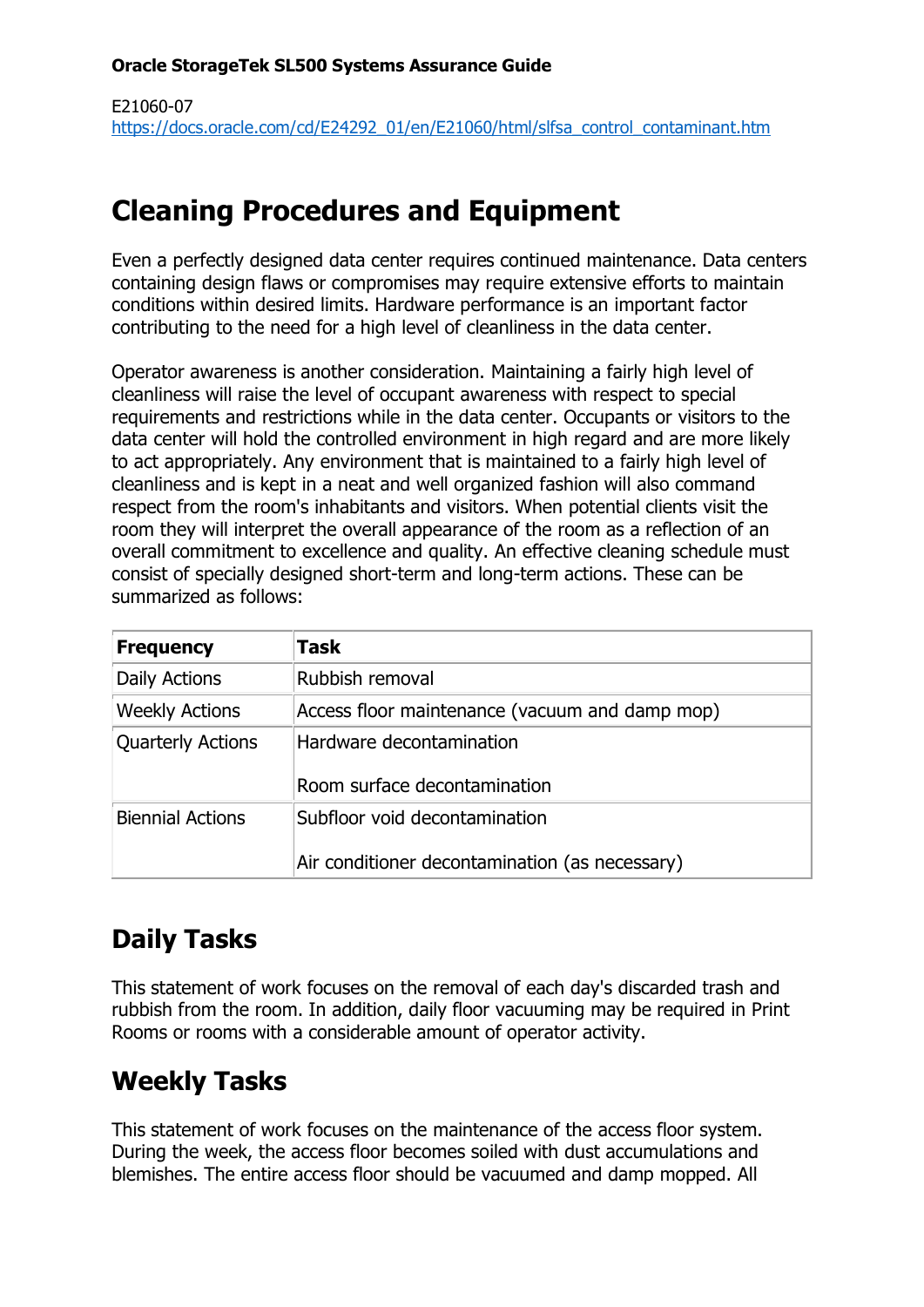# **Cleaning Procedures and Equipment**

Even a perfectly designed data center requires continued maintenance. Data centers containing design flaws or compromises may require extensive efforts to maintain conditions within desired limits. Hardware performance is an important factor contributing to the need for a high level of cleanliness in the data center.

Operator awareness is another consideration. Maintaining a fairly high level of cleanliness will raise the level of occupant awareness with respect to special requirements and restrictions while in the data center. Occupants or visitors to the data center will hold the controlled environment in high regard and are more likely to act appropriately. Any environment that is maintained to a fairly high level of cleanliness and is kept in a neat and well organized fashion will also command respect from the room's inhabitants and visitors. When potential clients visit the room they will interpret the overall appearance of the room as a reflection of an overall commitment to excellence and quality. An effective cleaning schedule must consist of specially designed short-term and long-term actions. These can be summarized as follows:

| <b>Frequency</b>         | <b>Task</b>                                    |  |  |
|--------------------------|------------------------------------------------|--|--|
| <b>Daily Actions</b>     | Rubbish removal                                |  |  |
| <b>Weekly Actions</b>    | Access floor maintenance (vacuum and damp mop) |  |  |
| <b>Quarterly Actions</b> | Hardware decontamination                       |  |  |
|                          | Room surface decontamination                   |  |  |
| <b>Biennial Actions</b>  | Subfloor void decontamination                  |  |  |
|                          | Air conditioner decontamination (as necessary) |  |  |

### **Daily Tasks**

This statement of work focuses on the removal of each day's discarded trash and rubbish from the room. In addition, daily floor vacuuming may be required in Print Rooms or rooms with a considerable amount of operator activity.

# **Weekly Tasks**

This statement of work focuses on the maintenance of the access floor system. During the week, the access floor becomes soiled with dust accumulations and blemishes. The entire access floor should be vacuumed and damp mopped. All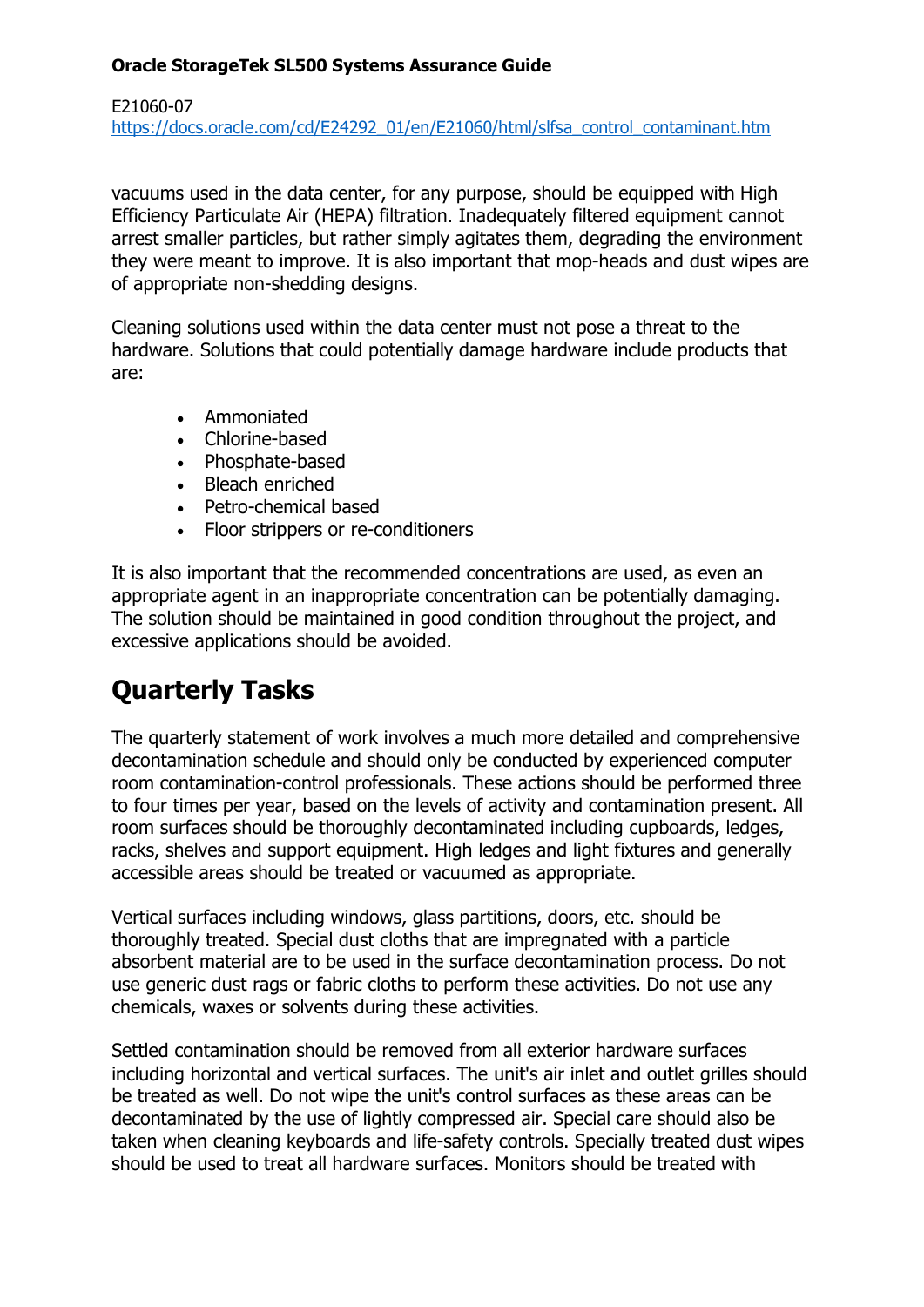E21060-07

https://docs.oracle.com/cd/E24292\_01/en/E21060/html/slfsa\_control\_contaminant.htm

vacuums used in the data center, for any purpose, should be equipped with High Efficiency Particulate Air (HEPA) filtration. Inadequately filtered equipment cannot arrest smaller particles, but rather simply agitates them, degrading the environment they were meant to improve. It is also important that mop-heads and dust wipes are of appropriate non-shedding designs.

Cleaning solutions used within the data center must not pose a threat to the hardware. Solutions that could potentially damage hardware include products that are:

- Ammoniated
- Chlorine-based
- Phosphate-based
- Bleach enriched
- Petro-chemical based
- Floor strippers or re-conditioners

It is also important that the recommended concentrations are used, as even an appropriate agent in an inappropriate concentration can be potentially damaging. The solution should be maintained in good condition throughout the project, and excessive applications should be avoided.

# **Quarterly Tasks**

The quarterly statement of work involves a much more detailed and comprehensive decontamination schedule and should only be conducted by experienced computer room contamination-control professionals. These actions should be performed three to four times per year, based on the levels of activity and contamination present. All room surfaces should be thoroughly decontaminated including cupboards, ledges, racks, shelves and support equipment. High ledges and light fixtures and generally accessible areas should be treated or vacuumed as appropriate.

Vertical surfaces including windows, glass partitions, doors, etc. should be thoroughly treated. Special dust cloths that are impregnated with a particle absorbent material are to be used in the surface decontamination process. Do not use generic dust rags or fabric cloths to perform these activities. Do not use any chemicals, waxes or solvents during these activities.

Settled contamination should be removed from all exterior hardware surfaces including horizontal and vertical surfaces. The unit's air inlet and outlet grilles should be treated as well. Do not wipe the unit's control surfaces as these areas can be decontaminated by the use of lightly compressed air. Special care should also be taken when cleaning keyboards and life-safety controls. Specially treated dust wipes should be used to treat all hardware surfaces. Monitors should be treated with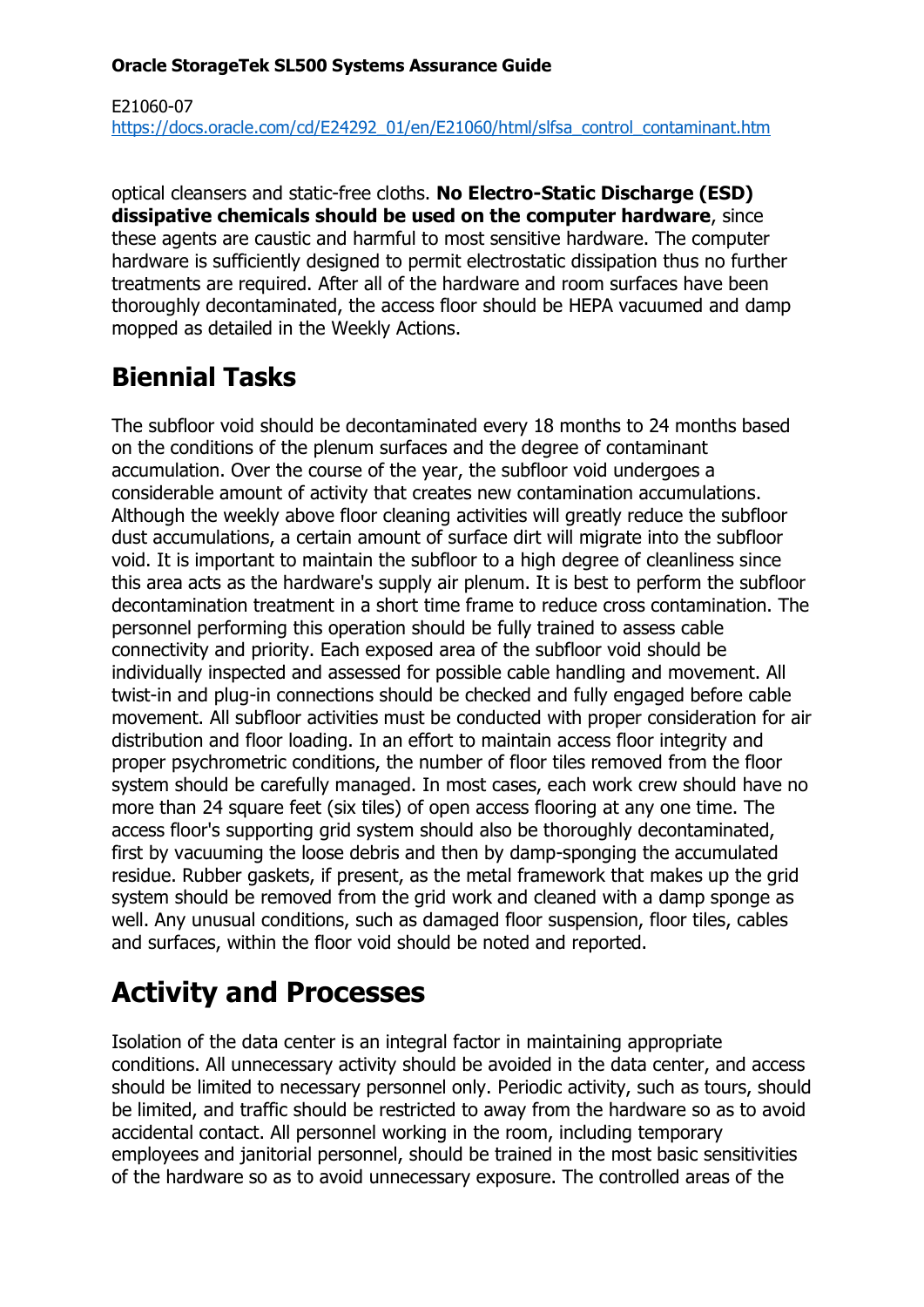E21060-07 https://docs.oracle.com/cd/E24292\_01/en/E21060/html/slfsa\_control\_contaminant.htm

optical cleansers and static-free cloths. **No Electro-Static Discharge (ESD) dissipative chemicals should be used on the computer hardware**, since these agents are caustic and harmful to most sensitive hardware. The computer hardware is sufficiently designed to permit electrostatic dissipation thus no further treatments are required. After all of the hardware and room surfaces have been thoroughly decontaminated, the access floor should be HEPA vacuumed and damp mopped as detailed in the Weekly Actions.

# **Biennial Tasks**

The subfloor void should be decontaminated every 18 months to 24 months based on the conditions of the plenum surfaces and the degree of contaminant accumulation. Over the course of the year, the subfloor void undergoes a considerable amount of activity that creates new contamination accumulations. Although the weekly above floor cleaning activities will greatly reduce the subfloor dust accumulations, a certain amount of surface dirt will migrate into the subfloor void. It is important to maintain the subfloor to a high degree of cleanliness since this area acts as the hardware's supply air plenum. It is best to perform the subfloor decontamination treatment in a short time frame to reduce cross contamination. The personnel performing this operation should be fully trained to assess cable connectivity and priority. Each exposed area of the subfloor void should be individually inspected and assessed for possible cable handling and movement. All twist-in and plug-in connections should be checked and fully engaged before cable movement. All subfloor activities must be conducted with proper consideration for air distribution and floor loading. In an effort to maintain access floor integrity and proper psychrometric conditions, the number of floor tiles removed from the floor system should be carefully managed. In most cases, each work crew should have no more than 24 square feet (six tiles) of open access flooring at any one time. The access floor's supporting grid system should also be thoroughly decontaminated, first by vacuuming the loose debris and then by damp-sponging the accumulated residue. Rubber gaskets, if present, as the metal framework that makes up the grid system should be removed from the grid work and cleaned with a damp sponge as well. Any unusual conditions, such as damaged floor suspension, floor tiles, cables and surfaces, within the floor void should be noted and reported.

# **Activity and Processes**

Isolation of the data center is an integral factor in maintaining appropriate conditions. All unnecessary activity should be avoided in the data center, and access should be limited to necessary personnel only. Periodic activity, such as tours, should be limited, and traffic should be restricted to away from the hardware so as to avoid accidental contact. All personnel working in the room, including temporary employees and janitorial personnel, should be trained in the most basic sensitivities of the hardware so as to avoid unnecessary exposure. The controlled areas of the